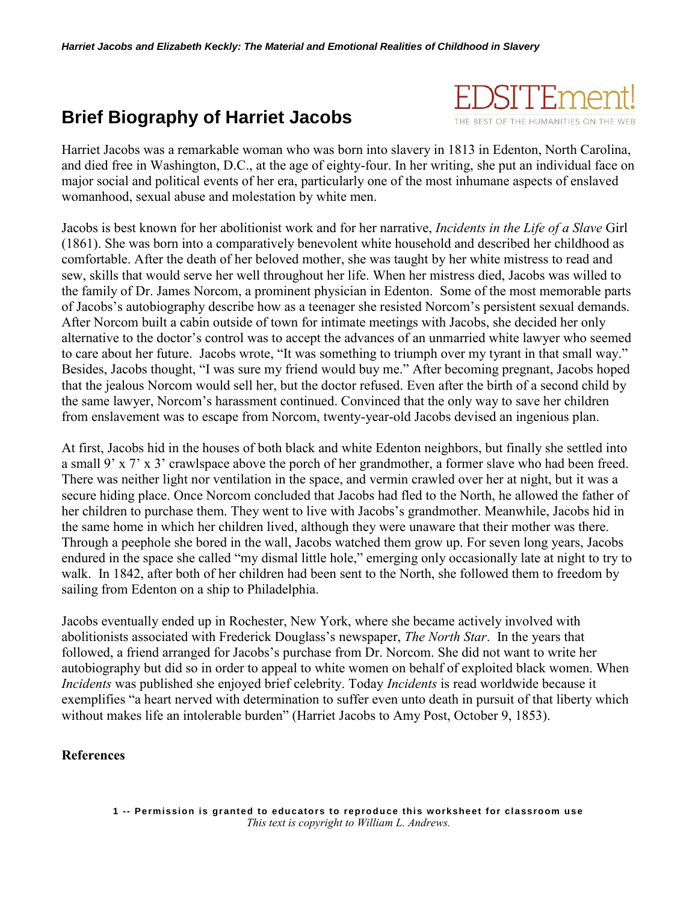## **Brief Biography of Harriet Jacobs**



Harriet Jacobs was a remarkable woman who was born into slavery in 1813 in Edenton, North Carolina, and died free in Washington, D.C., at the age of eighty-four. In her writing, she put an individual face on major social and political events of her era, particularly one of the most inhumane aspects of enslaved womanhood, sexual abuse and molestation by white men.

Jacobs is best known for her abolitionist work and for her narrative, *Incidents in the Life of a Slave* Girl (1861). She was born into a comparatively benevolent white household and described her childhood as comfortable. After the death of her beloved mother, she was taught by her white mistress to read and sew, skills that would serve her well throughout her life. When her mistress died, Jacobs was willed to the family of Dr. James Norcom, a prominent physician in Edenton. Some of the most memorable parts of Jacobs's autobiography describe how as a teenager she resisted Norcom's persistent sexual demands. After Norcom built a cabin outside of town for intimate meetings with Jacobs, she decided her only alternative to the doctor's control was to accept the advances of an unmarried white lawyer who seemed to care about her future. Jacobs wrote, "It was something to triumph over my tyrant in that small way." Besides, Jacobs thought, "I was sure my friend would buy me." After becoming pregnant, Jacobs hoped that the jealous Norcom would sell her, but the doctor refused. Even after the birth of a second child by the same lawyer, Norcom's harassment continued. Convinced that the only way to save her children from enslavement was to escape from Norcom, twenty-year-old Jacobs devised an ingenious plan.

At first, Jacobs hid in the houses of both black and white Edenton neighbors, but finally she settled into a small 9' x 7' x 3' crawlspace above the porch of her grandmother, a former slave who had been freed. There was neither light nor ventilation in the space, and vermin crawled over her at night, but it was a secure hiding place. Once Norcom concluded that Jacobs had fled to the North, he allowed the father of her children to purchase them. They went to live with Jacobs's grandmother. Meanwhile, Jacobs hid in the same home in which her children lived, although they were unaware that their mother was there. Through a peephole she bored in the wall, Jacobs watched them grow up. For seven long years, Jacobs endured in the space she called "my dismal little hole," emerging only occasionally late at night to try to walk. In 1842, after both of her children had been sent to the North, she followed them to freedom by sailing from Edenton on a ship to Philadelphia.

Jacobs eventually ended up in Rochester, New York, where she became actively involved with abolitionists associated with Frederick Douglass's newspaper, *The North Star*. In the years that followed, a friend arranged for Jacobs's purchase from Dr. Norcom. She did not want to write her autobiography but did so in order to appeal to white women on behalf of exploited black women. When *Incidents* was published she enjoyed brief celebrity. Today *Incidents* is read worldwide because it exemplifies "a heart nerved with determination to suffer even unto death in pursuit of that liberty which without makes life an intolerable burden" (Harriet Jacobs to Amy Post, October 9, 1853).

## **References**